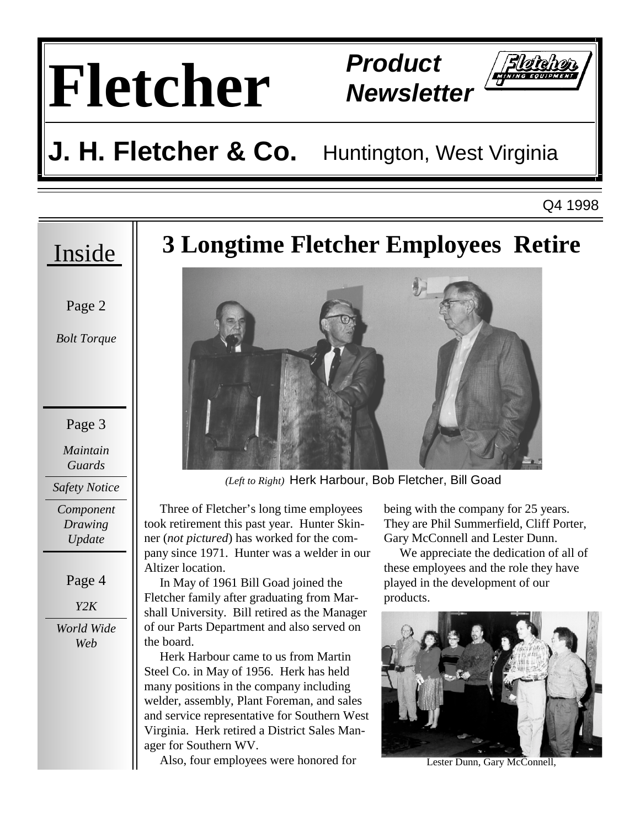# **Fletcher Product**

**Newsletter** 

## **J. H. Fletcher & Co.** Huntington, West Virginia

Q4 1998

#### Inside

Page 2

*Bolt Torque* 

Page 3

*Maintain Guards* 

*Safety Notice* 

*Component Drawing Update* 

Page 4

*Y2K* 

*World Wide Web* 

## **3 Longtime Fletcher Employees Retire**



*(Left to Right)* Herk Harbour, Bob Fletcher, Bill Goad

 Three of Fletcher's long time employees took retirement this past year. Hunter Skinner (*not pictured*) has worked for the company since 1971. Hunter was a welder in our Altizer location.

 In May of 1961 Bill Goad joined the Fletcher family after graduating from Marshall University. Bill retired as the Manager of our Parts Department and also served on the board.

 Herk Harbour came to us from Martin Steel Co. in May of 1956. Herk has held many positions in the company including welder, assembly, Plant Foreman, and sales and service representative for Southern West Virginia. Herk retired a District Sales Manager for Southern WV.

Also, four employees were honored for

being with the company for 25 years. They are Phil Summerfield, Cliff Porter, Gary McConnell and Lester Dunn.

 We appreciate the dedication of all of these employees and the role they have played in the development of our products.



Lester Dunn, Gary McConnell.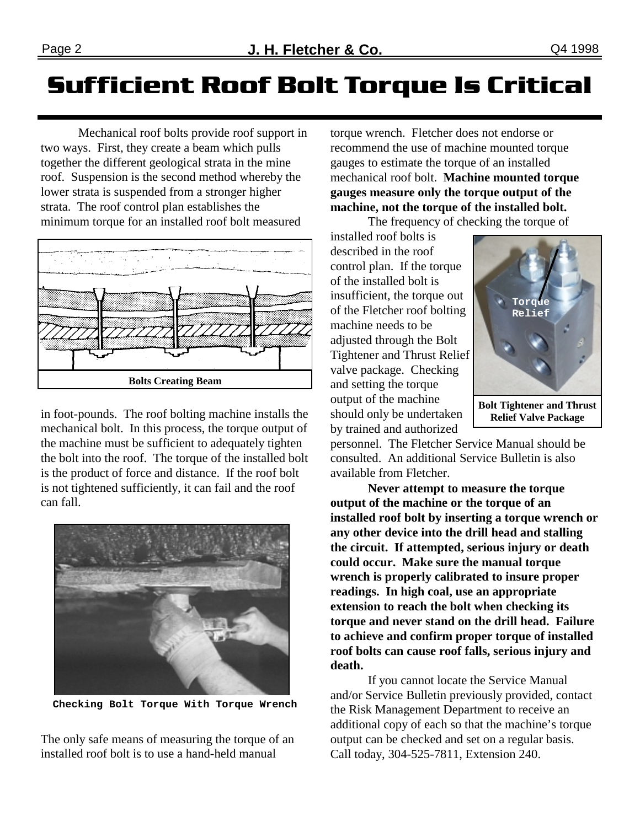Mechanical roof bolts provide roof support in two ways. First, they create a beam which pulls together the different geological strata in the mine roof. Suspension is the second method whereby the lower strata is suspended from a stronger higher strata. The roof control plan establishes the minimum torque for an installed roof bolt measured



in foot-pounds. The roof bolting machine installs the mechanical bolt. In this process, the torque output of the machine must be sufficient to adequately tighten the bolt into the roof. The torque of the installed bolt is the product of force and distance. If the roof bolt is not tightened sufficiently, it can fail and the roof can fall.





The only safe means of measuring the torque of an installed roof bolt is to use a hand-held manual

torque wrench. Fletcher does not endorse or recommend the use of machine mounted torque gauges to estimate the torque of an installed mechanical roof bolt. **Machine mounted torque gauges measure only the torque output of the machine, not the torque of the installed bolt.**

The frequency of checking the torque of

installed roof bolts is described in the roof control plan. If the torque of the installed bolt is insufficient, the torque out of the Fletcher roof bolting machine needs to be adjusted through the Bolt Tightener and Thrust Relief valve package. Checking and setting the torque output of the machine should only be undertaken by trained and authorized



**Relief Valve Package** 

personnel. The Fletcher Service Manual should be consulted. An additional Service Bulletin is also available from Fletcher.

 **Never attempt to measure the torque output of the machine or the torque of an installed roof bolt by inserting a torque wrench or any other device into the drill head and stalling the circuit. If attempted, serious injury or death could occur. Make sure the manual torque wrench is properly calibrated to insure proper readings. In high coal, use an appropriate extension to reach the bolt when checking its torque and never stand on the drill head. Failure to achieve and confirm proper torque of installed roof bolts can cause roof falls, serious injury and death.**

 If you cannot locate the Service Manual and/or Service Bulletin previously provided, contact the Risk Management Department to receive an additional copy of each so that the machine's torque output can be checked and set on a regular basis. Call today, 304-525-7811, Extension 240.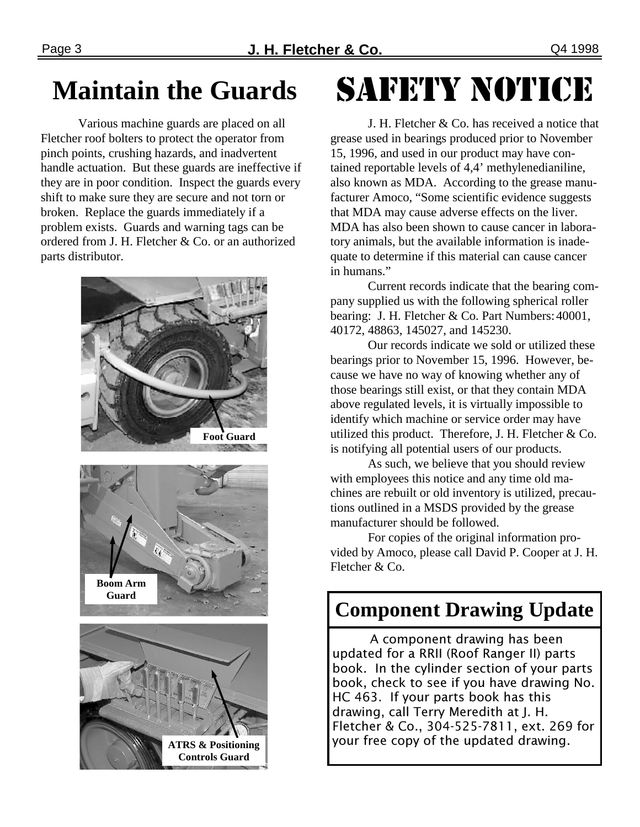### **Maintain the Guards**

 Various machine guards are placed on all Fletcher roof bolters to protect the operator from pinch points, crushing hazards, and inadvertent handle actuation. But these guards are ineffective if they are in poor condition. Inspect the guards every shift to make sure they are secure and not torn or broken. Replace the guards immediately if a problem exists. Guards and warning tags can be ordered from J. H. Fletcher & Co. or an authorized parts distributor.



**ATRS & Positioning Controls Guard** 

# **SAFETY NOTICE**

 J. H. Fletcher & Co. has received a notice that grease used in bearings produced prior to November 15, 1996, and used in our product may have contained reportable levels of 4,4' methylenedianiline, also known as MDA. According to the grease manufacturer Amoco, "Some scientific evidence suggests that MDA may cause adverse effects on the liver. MDA has also been shown to cause cancer in laboratory animals, but the available information is inadequate to determine if this material can cause cancer in humans."

 Current records indicate that the bearing company supplied us with the following spherical roller bearing: J. H. Fletcher & Co. Part Numbers: 40001, 40172, 48863, 145027, and 145230.

 Our records indicate we sold or utilized these bearings prior to November 15, 1996. However, because we have no way of knowing whether any of those bearings still exist, or that they contain MDA above regulated levels, it is virtually impossible to identify which machine or service order may have utilized this product. Therefore, J. H. Fletcher & Co. is notifying all potential users of our products.

 As such, we believe that you should review with employees this notice and any time old machines are rebuilt or old inventory is utilized, precautions outlined in a MSDS provided by the grease manufacturer should be followed.

 For copies of the original information provided by Amoco, please call David P. Cooper at J. H. Fletcher & Co.

#### **Component Drawing Update**

A component drawing has been updated for a RRII (Roof Ranger II) parts book. In the cylinder section of your parts book, check to see if you have drawing No. HC 463. If your parts book has this drawing, call Terry Meredith at J. H. Fletcher & Co., 304-525-7811, ext. 269 for your free copy of the updated drawing.